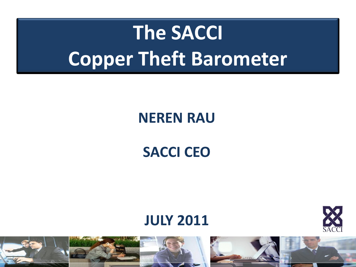# **The SACCI Copper Theft Barometer**

### **NEREN RAU**

### **SACCI CEO**

#### **JULY 2011**



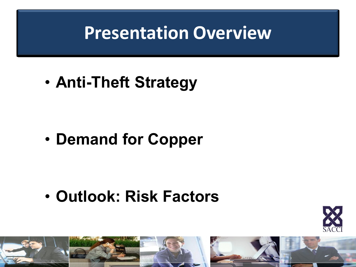## **Presentation Overview**

• **Anti-Theft Strategy**

• **Demand for Copper**

• **Outlook: Risk Factors**





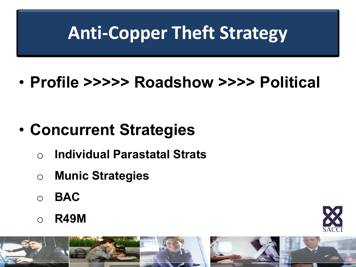# **Anti-Copper Theft Strategy**

### • **Profile >>>>> Roadshow >>>> Political**

### • **Concurrent Strategies**

- o **Individual Parastatal Strats**
- o **Munic Strategies**
- o **BAC**
- o **R49M**





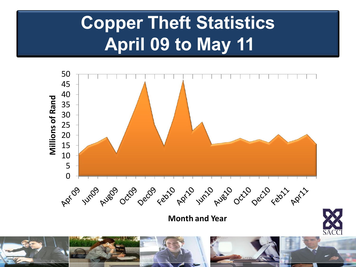## **Copper Theft Statistics April 09 to May 11**

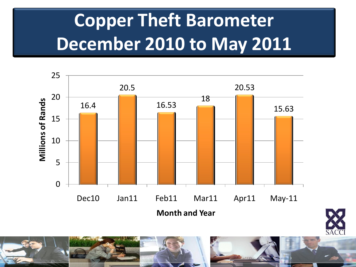# **Copper Theft Barometer December 2010 to May 2011**





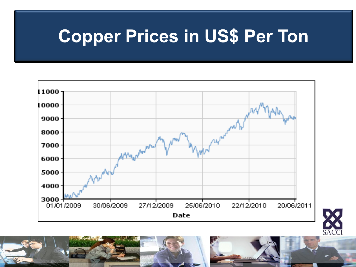## **Copper Prices in US\$ Per Ton**





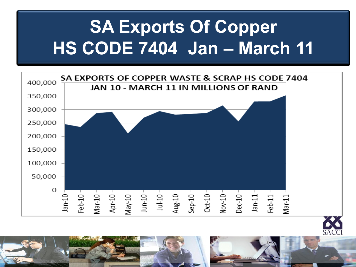# **SA Exports Of Copper HS CODE 7404 Jan – March 11**





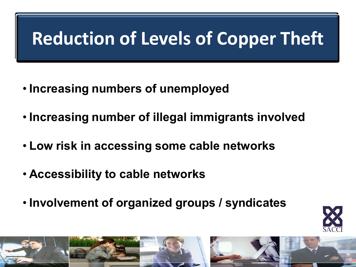#### **Factors influencing reduction in levels of contrart in South Africa (contrart in South Africa Complete in South Africa Contrarty Complete in The Report in South Africa Complete in The Report in South Africa Complete in The Report in South Africa Complete in The Reduction of Levels of Copper Theft**

- **Increasing numbers of unemployed**
- **Increasing number of illegal immigrants involved**
- **Low risk in accessing some cable networks**
- **Accessibility to cable networks**
- **Involvement of organized groups / syndicates**





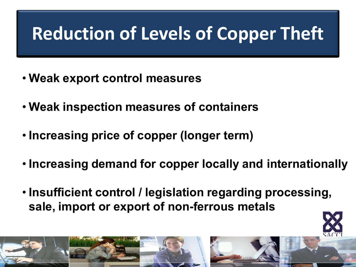# **Reduction of Levels of Copper Theft**

- **Weak export control measures**
- **Weak inspection measures of containers**
- **Increasing price of copper (longer term)**
- **Increasing demand for copper locally and internationally**
- **Insufficient control / legislation regarding processing, sale, import or export of non-ferrous metals**